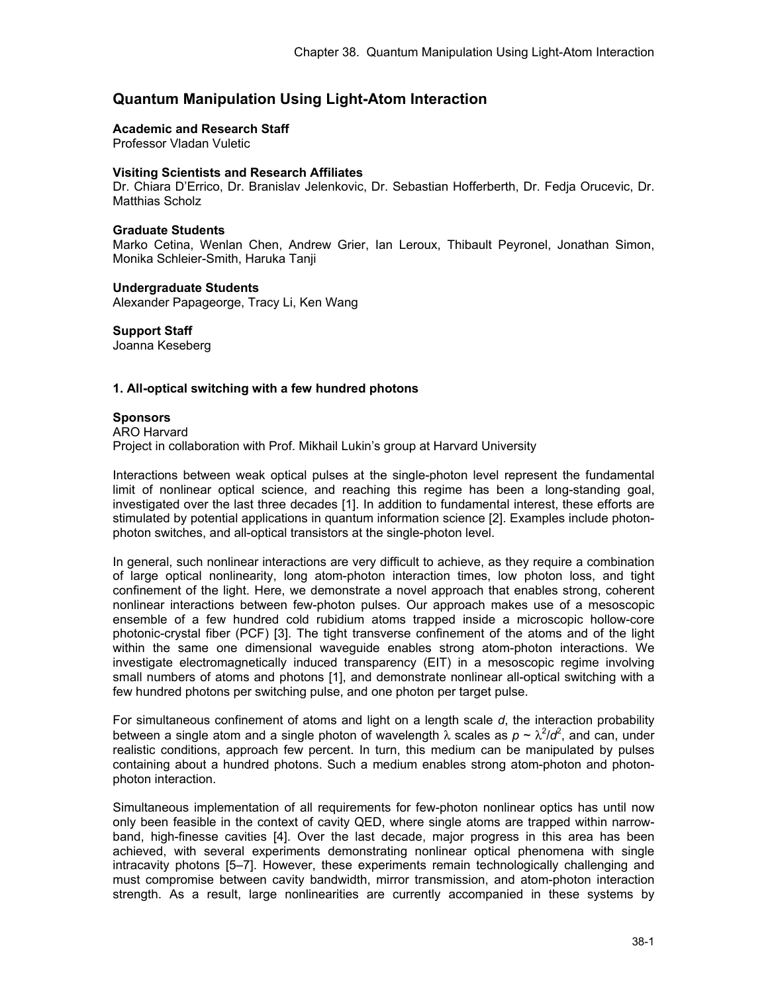# **Quantum Manipulation Using Light-Atom Interaction**

#### **Academic and Research Staff**

Professor Vladan Vuletic

### **Visiting Scientists and Research Affiliates**

Dr. Chiara D'Errico, Dr. Branislav Jelenkovic, Dr. Sebastian Hofferberth, Dr. Fedja Orucevic, Dr. Matthias Scholz

### **Graduate Students**

Marko Cetina, Wenlan Chen, Andrew Grier, Ian Leroux, Thibault Peyronel, Jonathan Simon, Monika Schleier-Smith, Haruka Tanji

#### **Undergraduate Students**

Alexander Papageorge, Tracy Li, Ken Wang

## **Support Staff**

Joanna Keseberg

## **1. All-optical switching with a few hundred photons**

#### **Sponsors**

ARO Harvard Project in collaboration with Prof. Mikhail Lukin's group at Harvard University

Interactions between weak optical pulses at the single-photon level represent the fundamental limit of nonlinear optical science, and reaching this regime has been a long-standing goal, investigated over the last three decades [1]. In addition to fundamental interest, these efforts are stimulated by potential applications in quantum information science [2]. Examples include photonphoton switches, and all-optical transistors at the single-photon level.

In general, such nonlinear interactions are very difficult to achieve, as they require a combination of large optical nonlinearity, long atom-photon interaction times, low photon loss, and tight confinement of the light. Here, we demonstrate a novel approach that enables strong, coherent nonlinear interactions between few-photon pulses. Our approach makes use of a mesoscopic ensemble of a few hundred cold rubidium atoms trapped inside a microscopic hollow-core photonic-crystal fiber (PCF) [3]. The tight transverse confinement of the atoms and of the light within the same one dimensional waveguide enables strong atom-photon interactions. We investigate electromagnetically induced transparency (EIT) in a mesoscopic regime involving small numbers of atoms and photons [1], and demonstrate nonlinear all-optical switching with a few hundred photons per switching pulse, and one photon per target pulse.

For simultaneous confinement of atoms and light on a length scale *d*, the interaction probability between a single atom and a single photon of wavelength  $\lambda$  scales as  $p \sim \lambda^2/d^2$ , and can, under realistic conditions, approach few percent. In turn, this medium can be manipulated by pulses containing about a hundred photons. Such a medium enables strong atom-photon and photonphoton interaction.

Simultaneous implementation of all requirements for few-photon nonlinear optics has until now only been feasible in the context of cavity QED, where single atoms are trapped within narrowband, high-finesse cavities [4]. Over the last decade, major progress in this area has been achieved, with several experiments demonstrating nonlinear optical phenomena with single intracavity photons [5–7]. However, these experiments remain technologically challenging and must compromise between cavity bandwidth, mirror transmission, and atom-photon interaction strength. As a result, large nonlinearities are currently accompanied in these systems by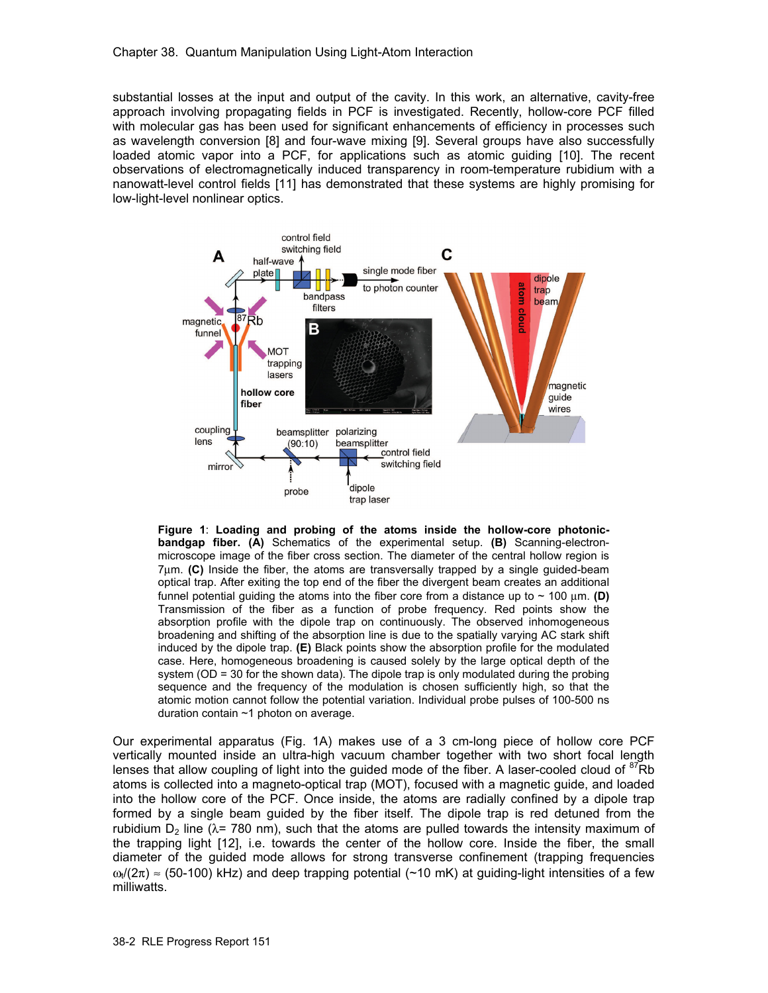substantial losses at the input and output of the cavity. In this work, an alternative, cavity-free approach involving propagating fields in PCF is investigated. Recently, hollow-core PCF filled with molecular gas has been used for significant enhancements of efficiency in processes such as wavelength conversion [8] and four-wave mixing [9]. Several groups have also successfully loaded atomic vapor into a PCF, for applications such as atomic guiding [10]. The recent observations of electromagnetically induced transparency in room-temperature rubidium with a nanowatt-level control fields [11] has demonstrated that these systems are highly promising for low-light-level nonlinear optics.



**Figure 1**: **Loading and probing of the atoms inside the hollow-core photonicbandgap fiber. (A)** Schematics of the experimental setup. **(B)** Scanning-electronmicroscope image of the fiber cross section. The diameter of the central hollow region is 7μm. **(C)** Inside the fiber, the atoms are transversally trapped by a single guided-beam optical trap. After exiting the top end of the fiber the divergent beam creates an additional funnel potential guiding the atoms into the fiber core from a distance up to ~ 100 μm. **(D)** Transmission of the fiber as a function of probe frequency. Red points show the absorption profile with the dipole trap on continuously. The observed inhomogeneous broadening and shifting of the absorption line is due to the spatially varying AC stark shift induced by the dipole trap. **(E)** Black points show the absorption profile for the modulated case. Here, homogeneous broadening is caused solely by the large optical depth of the system (OD = 30 for the shown data). The dipole trap is only modulated during the probing sequence and the frequency of the modulation is chosen sufficiently high, so that the atomic motion cannot follow the potential variation. Individual probe pulses of 100-500 ns duration contain ~1 photon on average.

Our experimental apparatus (Fig. 1A) makes use of a 3 cm-long piece of hollow core PCF vertically mounted inside an ultra-high vacuum chamber together with two short focal length lenses that allow coupling of light into the guided mode of the fiber. A laser-cooled cloud of  ${}^{87}$ Rb atoms is collected into a magneto-optical trap (MOT), focused with a magnetic guide, and loaded into the hollow core of the PCF. Once inside, the atoms are radially confined by a dipole trap formed by a single beam guided by the fiber itself. The dipole trap is red detuned from the rubidium  $D_2$  line ( $\lambda$ = 780 nm), such that the atoms are pulled towards the intensity maximum of the trapping light [12], i.e. towards the center of the hollow core. Inside the fiber, the small diameter of the guided mode allows for strong transverse confinement (trapping frequencies  $\omega_t/(2\pi) \approx$  (50-100) kHz) and deep trapping potential (~10 mK) at guiding-light intensities of a few milliwatts.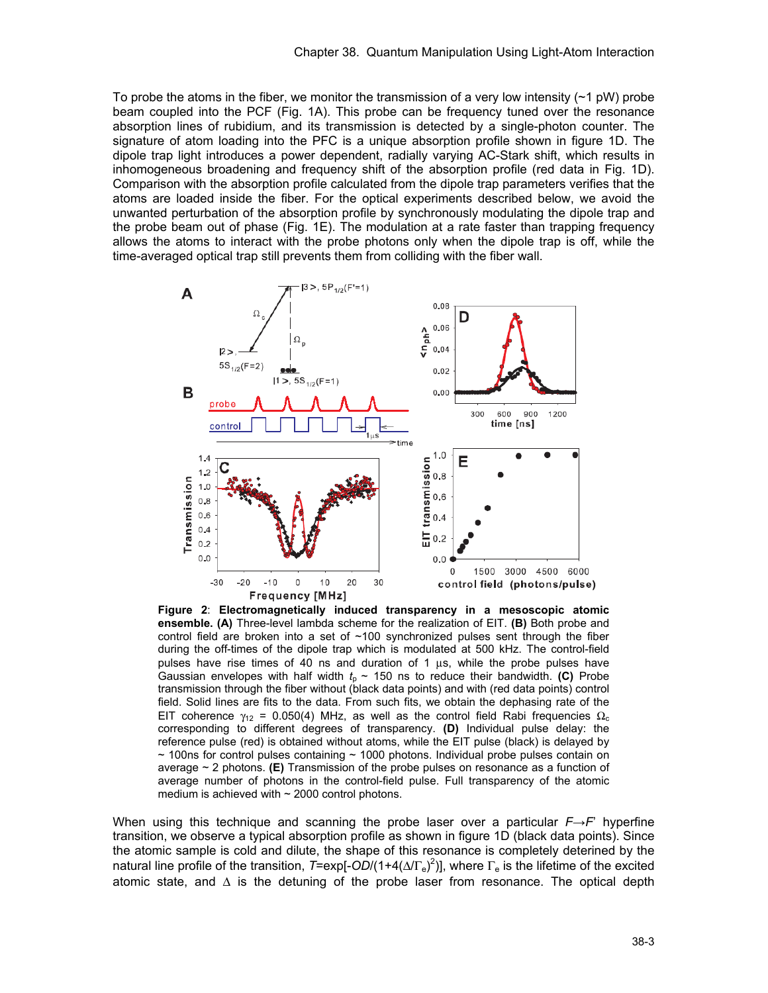To probe the atoms in the fiber, we monitor the transmission of a very low intensity  $(21 \text{ pW})$  probe beam coupled into the PCF (Fig. 1A). This probe can be frequency tuned over the resonance absorption lines of rubidium, and its transmission is detected by a single-photon counter. The signature of atom loading into the PFC is a unique absorption profile shown in figure 1D. The dipole trap light introduces a power dependent, radially varying AC-Stark shift, which results in inhomogeneous broadening and frequency shift of the absorption profile (red data in Fig. 1D). Comparison with the absorption profile calculated from the dipole trap parameters verifies that the atoms are loaded inside the fiber. For the optical experiments described below, we avoid the unwanted perturbation of the absorption profile by synchronously modulating the dipole trap and the probe beam out of phase (Fig. 1E). The modulation at a rate faster than trapping frequency allows the atoms to interact with the probe photons only when the dipole trap is off, while the time-averaged optical trap still prevents them from colliding with the fiber wall.



**Figure 2**: **Electromagnetically induced transparency in a mesoscopic atomic ensemble. (A)** Three-level lambda scheme for the realization of EIT. **(B)** Both probe and control field are broken into a set of  $~100$  synchronized pulses sent through the fiber during the off-times of the dipole trap which is modulated at 500 kHz. The control-field pulses have rise times of 40 ns and duration of 1 μs, while the probe pulses have Gaussian envelopes with half width  $t<sub>p</sub> \sim 150$  ns to reduce their bandwidth. **(C)** Probe transmission through the fiber without (black data points) and with (red data points) control field. Solid lines are fits to the data. From such fits, we obtain the dephasing rate of the EIT coherence  $\gamma_{12}$  = 0.050(4) MHz, as well as the control field Rabi frequencies  $\Omega_c$ corresponding to different degrees of transparency. **(D)** Individual pulse delay: the reference pulse (red) is obtained without atoms, while the EIT pulse (black) is delayed by  $\sim$  100ns for control pulses containing  $\sim$  1000 photons. Individual probe pulses contain on average ~ 2 photons. **(E)** Transmission of the probe pulses on resonance as a function of average number of photons in the control-field pulse. Full transparency of the atomic medium is achieved with  $\sim$  2000 control photons.

When using this technique and scanning the probe laser over a particular *F*→*F*' hyperfine transition, we observe a typical absorption profile as shown in figure 1D (black data points). Since the atomic sample is cold and dilute, the shape of this resonance is completely deterined by the natural line profile of the transition, *T*=exp[-*OD*/(1+4(Δ/Γ<sub>e</sub>)<sup>2</sup>)], where Γ<sub>e</sub> is the lifetime of the excited atomic state, and  $\Delta$  is the detuning of the probe laser from resonance. The optical depth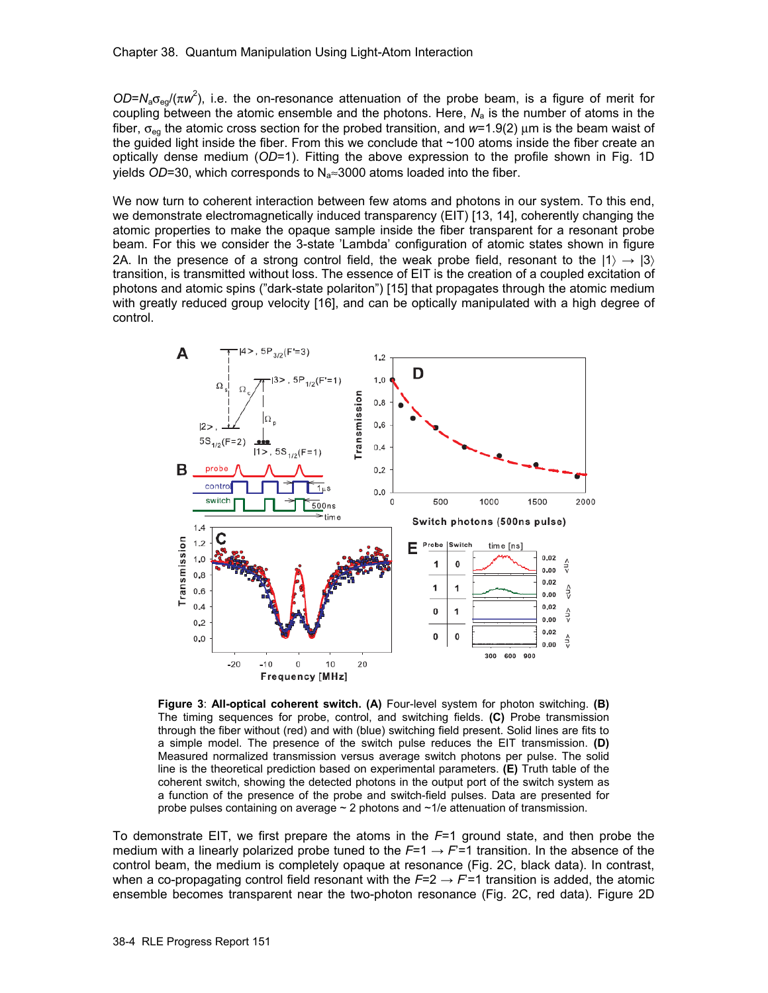$OD = N_a \sigma_{eg} / (\pi w^2)$ , i.e. the on-resonance attenuation of the probe beam, is a figure of merit for coupling between the atomic ensemble and the photons. Here,  $N_a$  is the number of atoms in the fiber, σeg the atomic cross section for the probed transition, and *w*=1.9(2) μm is the beam waist of the guided light inside the fiber. From this we conclude that ~100 atoms inside the fiber create an optically dense medium (*OD*=1). Fitting the above expression to the profile shown in Fig. 1D yields *OD*=30, which corresponds to N<sub>a</sub>≈3000 atoms loaded into the fiber.

We now turn to coherent interaction between few atoms and photons in our system. To this end, we demonstrate electromagnetically induced transparency (EIT) [13, 14], coherently changing the atomic properties to make the opaque sample inside the fiber transparent for a resonant probe beam. For this we consider the 3-state 'Lambda' configuration of atomic states shown in figure 2A. In the presence of a strong control field, the weak probe field, resonant to the  $|1\rangle \rightarrow |3\rangle$ transition, is transmitted without loss. The essence of EIT is the creation of a coupled excitation of photons and atomic spins ("dark-state polariton") [15] that propagates through the atomic medium with greatly reduced group velocity [16], and can be optically manipulated with a high degree of control.



**Figure 3**: **All-optical coherent switch. (A)** Four-level system for photon switching. **(B)** The timing sequences for probe, control, and switching fields. **(C)** Probe transmission through the fiber without (red) and with (blue) switching field present. Solid lines are fits to a simple model. The presence of the switch pulse reduces the EIT transmission. **(D)** Measured normalized transmission versus average switch photons per pulse. The solid line is the theoretical prediction based on experimental parameters. **(E)** Truth table of the coherent switch, showing the detected photons in the output port of the switch system as a function of the presence of the probe and switch-field pulses. Data are presented for probe pulses containing on average  $\sim$  2 photons and  $\sim$  1/e attenuation of transmission.

To demonstrate EIT, we first prepare the atoms in the *F*=1 ground state, and then probe the medium with a linearly polarized probe tuned to the  $F=1 \rightarrow F=1$  transition. In the absence of the control beam, the medium is completely opaque at resonance (Fig. 2C, black data). In contrast, when a co-propagating control field resonant with the  $F=2 \rightarrow F=1$  transition is added, the atomic ensemble becomes transparent near the two-photon resonance (Fig. 2C, red data). Figure 2D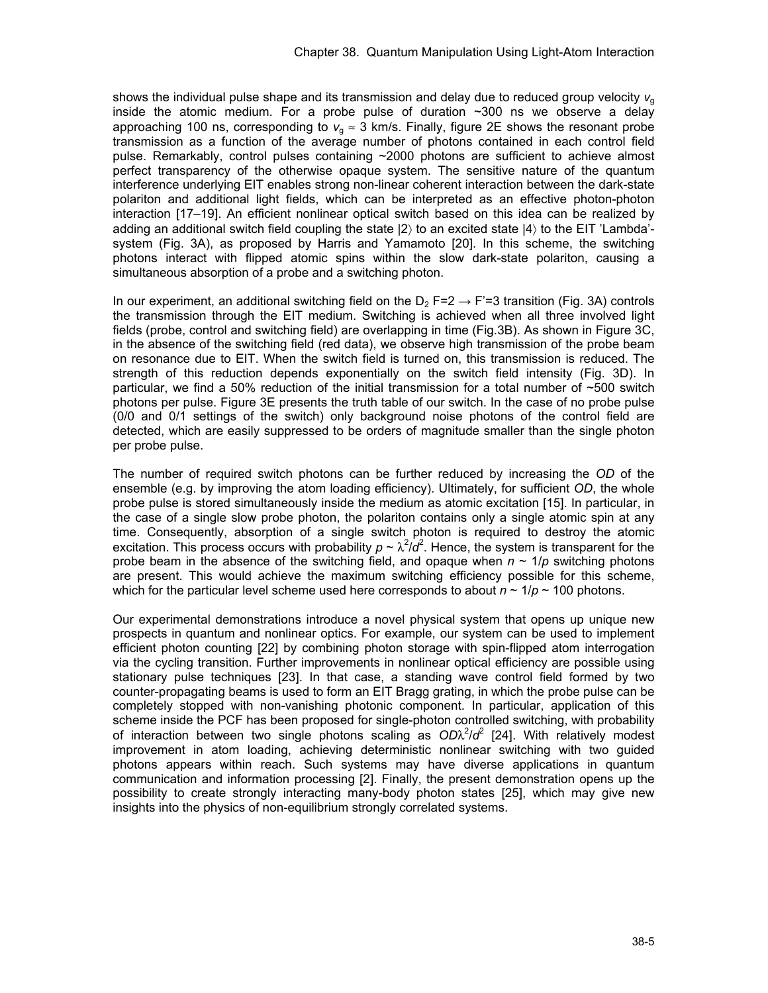shows the individual pulse shape and its transmission and delay due to reduced group velocity  $v<sub>g</sub>$ inside the atomic medium. For a probe pulse of duration  $\sim$ 300 ns we observe a delay approaching 100 ns, corresponding to  $v<sub>a</sub> \approx 3$  km/s. Finally, figure 2E shows the resonant probe transmission as a function of the average number of photons contained in each control field pulse. Remarkably, control pulses containing ~2000 photons are sufficient to achieve almost perfect transparency of the otherwise opaque system. The sensitive nature of the quantum interference underlying EIT enables strong non-linear coherent interaction between the dark-state polariton and additional light fields, which can be interpreted as an effective photon-photon interaction [17–19]. An efficient nonlinear optical switch based on this idea can be realized by adding an additional switch field coupling the state |2〉 to an excited state |4〉 to the EIT 'Lambda' system (Fig. 3A), as proposed by Harris and Yamamoto [20]. In this scheme, the switching photons interact with flipped atomic spins within the slow dark-state polariton, causing a simultaneous absorption of a probe and a switching photon.

In our experiment, an additional switching field on the  $D_2$  F=2  $\rightarrow$  F'=3 transition (Fig. 3A) controls the transmission through the EIT medium. Switching is achieved when all three involved light fields (probe, control and switching field) are overlapping in time (Fig.3B). As shown in Figure 3C, in the absence of the switching field (red data), we observe high transmission of the probe beam on resonance due to EIT. When the switch field is turned on, this transmission is reduced. The strength of this reduction depends exponentially on the switch field intensity (Fig. 3D). In particular, we find a 50% reduction of the initial transmission for a total number of  $\sim$ 500 switch photons per pulse. Figure 3E presents the truth table of our switch. In the case of no probe pulse (0/0 and 0/1 settings of the switch) only background noise photons of the control field are detected, which are easily suppressed to be orders of magnitude smaller than the single photon per probe pulse.

The number of required switch photons can be further reduced by increasing the *OD* of the ensemble (e.g. by improving the atom loading efficiency). Ultimately, for sufficient *OD*, the whole probe pulse is stored simultaneously inside the medium as atomic excitation [15]. In particular, in the case of a single slow probe photon, the polariton contains only a single atomic spin at any time. Consequently, absorption of a single switch photon is required to destroy the atomic excitation. This process occurs with probability  $p \sim \lambda^2/d^2$ . Hence, the system is transparent for the probe beam in the absence of the switching field, and opaque when  $n \sim 1/p$  switching photons are present. This would achieve the maximum switching efficiency possible for this scheme, which for the particular level scheme used here corresponds to about  $n \sim 1/p \sim 100$  photons.

Our experimental demonstrations introduce a novel physical system that opens up unique new prospects in quantum and nonlinear optics. For example, our system can be used to implement efficient photon counting [22] by combining photon storage with spin-flipped atom interrogation via the cycling transition. Further improvements in nonlinear optical efficiency are possible using stationary pulse techniques [23]. In that case, a standing wave control field formed by two counter-propagating beams is used to form an EIT Bragg grating, in which the probe pulse can be completely stopped with non-vanishing photonic component. In particular, application of this scheme inside the PCF has been proposed for single-photon controlled switching, with probability of interaction between two single photons scaling as  $OD\lambda^2/d^2$  [24]. With relatively modest improvement in atom loading, achieving deterministic nonlinear switching with two guided photons appears within reach. Such systems may have diverse applications in quantum communication and information processing [2]. Finally, the present demonstration opens up the possibility to create strongly interacting many-body photon states [25], which may give new insights into the physics of non-equilibrium strongly correlated systems.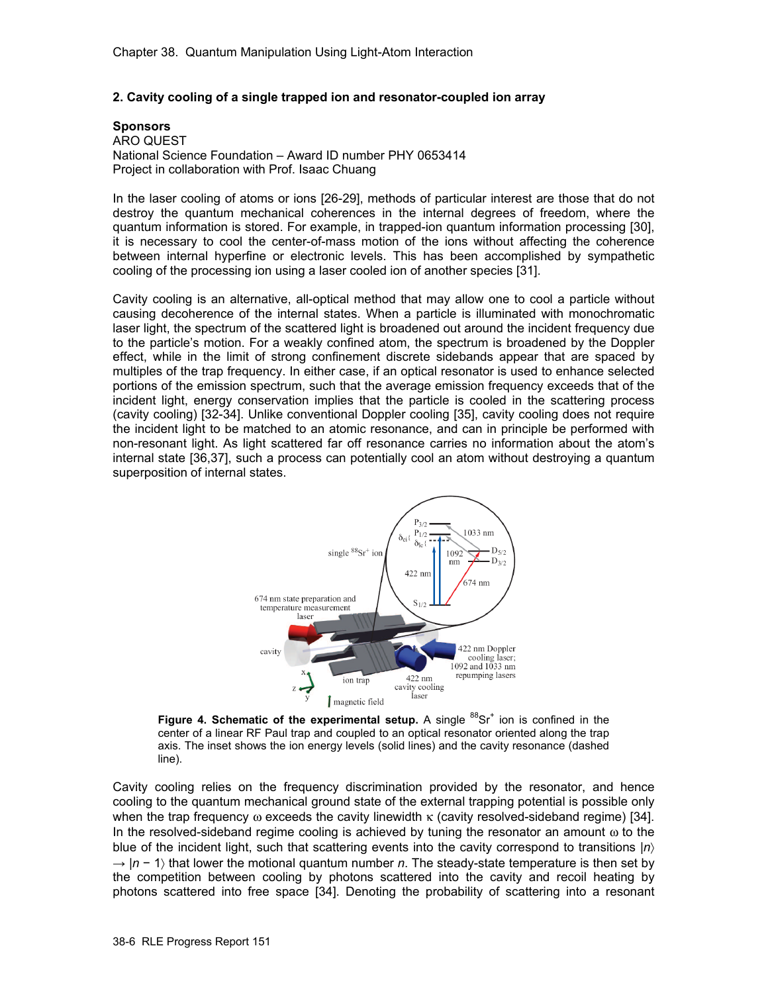## **2. Cavity cooling of a single trapped ion and resonator-coupled ion array**

### **Sponsors**

ARO QUEST National Science Foundation – Award ID number PHY 0653414 Project in collaboration with Prof. Isaac Chuang

In the laser cooling of atoms or ions [26-29], methods of particular interest are those that do not destroy the quantum mechanical coherences in the internal degrees of freedom, where the quantum information is stored. For example, in trapped-ion quantum information processing [30], it is necessary to cool the center-of-mass motion of the ions without affecting the coherence between internal hyperfine or electronic levels. This has been accomplished by sympathetic cooling of the processing ion using a laser cooled ion of another species [31].

Cavity cooling is an alternative, all-optical method that may allow one to cool a particle without causing decoherence of the internal states. When a particle is illuminated with monochromatic laser light, the spectrum of the scattered light is broadened out around the incident frequency due to the particle's motion. For a weakly confined atom, the spectrum is broadened by the Doppler effect, while in the limit of strong confinement discrete sidebands appear that are spaced by multiples of the trap frequency. In either case, if an optical resonator is used to enhance selected portions of the emission spectrum, such that the average emission frequency exceeds that of the incident light, energy conservation implies that the particle is cooled in the scattering process (cavity cooling) [32-34]. Unlike conventional Doppler cooling [35], cavity cooling does not require the incident light to be matched to an atomic resonance, and can in principle be performed with non-resonant light. As light scattered far off resonance carries no information about the atom's internal state [36,37], such a process can potentially cool an atom without destroying a quantum superposition of internal states.



Figure 4. Schematic of the experimental setup. A single <sup>88</sup>Sr<sup>+</sup> ion is confined in the center of a linear RF Paul trap and coupled to an optical resonator oriented along the trap axis. The inset shows the ion energy levels (solid lines) and the cavity resonance (dashed line).

Cavity cooling relies on the frequency discrimination provided by the resonator, and hence cooling to the quantum mechanical ground state of the external trapping potential is possible only when the trap frequency  $\omega$  exceeds the cavity linewidth  $\kappa$  (cavity resolved-sideband regime) [34]. In the resolved-sideband regime cooling is achieved by tuning the resonator an amount  $\omega$  to the blue of the incident light, such that scattering events into the cavity correspond to transitions |*n*〉 → |*n* − 1〉 that lower the motional quantum number *n*. The steady-state temperature is then set by the competition between cooling by photons scattered into the cavity and recoil heating by photons scattered into free space [34]. Denoting the probability of scattering into a resonant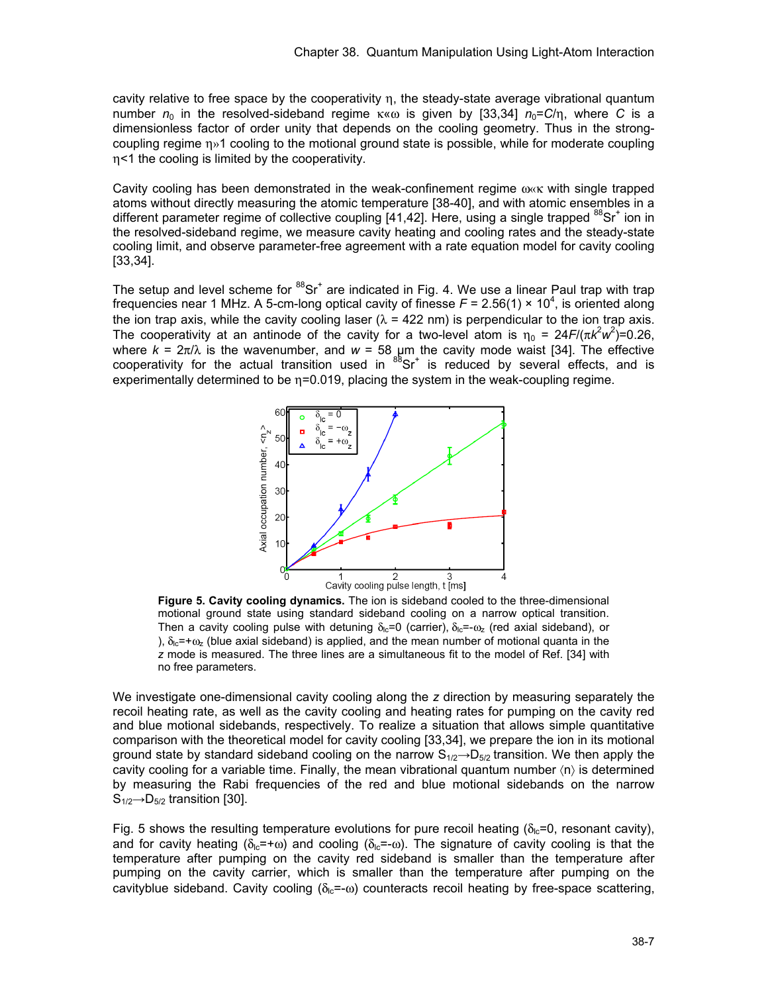cavity relative to free space by the cooperativity η, the steady-state average vibrational quantum number  $n_0$  in the resolved-sideband regime  $\kappa \ll \omega$  is given by [33,34]  $n_0 = C/n$ , where *C* is a dimensionless factor of order unity that depends on the cooling geometry. Thus in the strongcoupling regime η»1 cooling to the motional ground state is possible, while for moderate coupling η<1 the cooling is limited by the cooperativity.

Cavity cooling has been demonstrated in the weak-confinement regime ω«κ with single trapped atoms without directly measuring the atomic temperature [38-40], and with atomic ensembles in a different parameter regime of collective coupling [41,42]. Here, using a single trapped <sup>88</sup>Sr<sup>+</sup> ion in the resolved-sideband regime, we measure cavity heating and cooling rates and the steady-state cooling limit, and observe parameter-free agreement with a rate equation model for cavity cooling [33,34].

The setup and level scheme for  ${}^{88}Sr<sup>+</sup>$  are indicated in Fig. 4. We use a linear Paul trap with trap frequencies near 1 MHz. A 5-cm-long optical cavity of finesse  $F = 2.56(1) \times 10^4$ , is oriented along the ion trap axis, while the cavity cooling laser ( $\lambda = 422$  nm) is perpendicular to the ion trap axis. The cooperativity at an antinode of the cavity for a two-level atom is  $\eta_0 = 24F/(\pi k^2 w^2) = 0.26$ , where  $k = 2\pi/\lambda$  is the wavenumber, and  $w = 58$  µm the cavity mode waist [34]. The effective cooperativity for the actual transition used in  ${}^{88}Sr^+$  is reduced by several effects, and is experimentally determined to be  $\eta$ =0.019, placing the system in the weak-coupling regime.



**Figure 5. Cavity cooling dynamics.** The ion is sideband cooled to the three-dimensional motional ground state using standard sideband cooling on a narrow optical transition. Then a cavity cooling pulse with detuning  $\delta_{\rm lc}$ =0 (carrier),  $\delta_{\rm lc}$ =- $\omega_{\rm z}$  (red axial sideband), or ),  $\delta_{1c}$ =+ $\omega_z$  (blue axial sideband) is applied, and the mean number of motional quanta in the *z* mode is measured. The three lines are a simultaneous fit to the model of Ref. [34] with no free parameters.

We investigate one-dimensional cavity cooling along the *z* direction by measuring separately the recoil heating rate, as well as the cavity cooling and heating rates for pumping on the cavity red and blue motional sidebands, respectively. To realize a situation that allows simple quantitative comparison with the theoretical model for cavity cooling [33,34], we prepare the ion in its motional ground state by standard sideband cooling on the narrow  $S_{1/2} \rightarrow D_{5/2}$  transition. We then apply the cavity cooling for a variable time. Finally, the mean vibrational quantum number  $\langle n \rangle$  is determined by measuring the Rabi frequencies of the red and blue motional sidebands on the narrow  $S_{1/2} \rightarrow D_{5/2}$  transition [30].

Fig. 5 shows the resulting temperature evolutions for pure recoil heating ( $\delta_{\rm lc}$ =0, resonant cavity), and for cavity heating ( $\delta_{\alpha}=+\omega$ ) and cooling ( $\delta_{\alpha}=-\omega$ ). The signature of cavity cooling is that the temperature after pumping on the cavity red sideband is smaller than the temperature after pumping on the cavity carrier, which is smaller than the temperature after pumping on the cavityblue sideband. Cavity cooling ( $\delta_{\text{lc}} = \omega$ ) counteracts recoil heating by free-space scattering,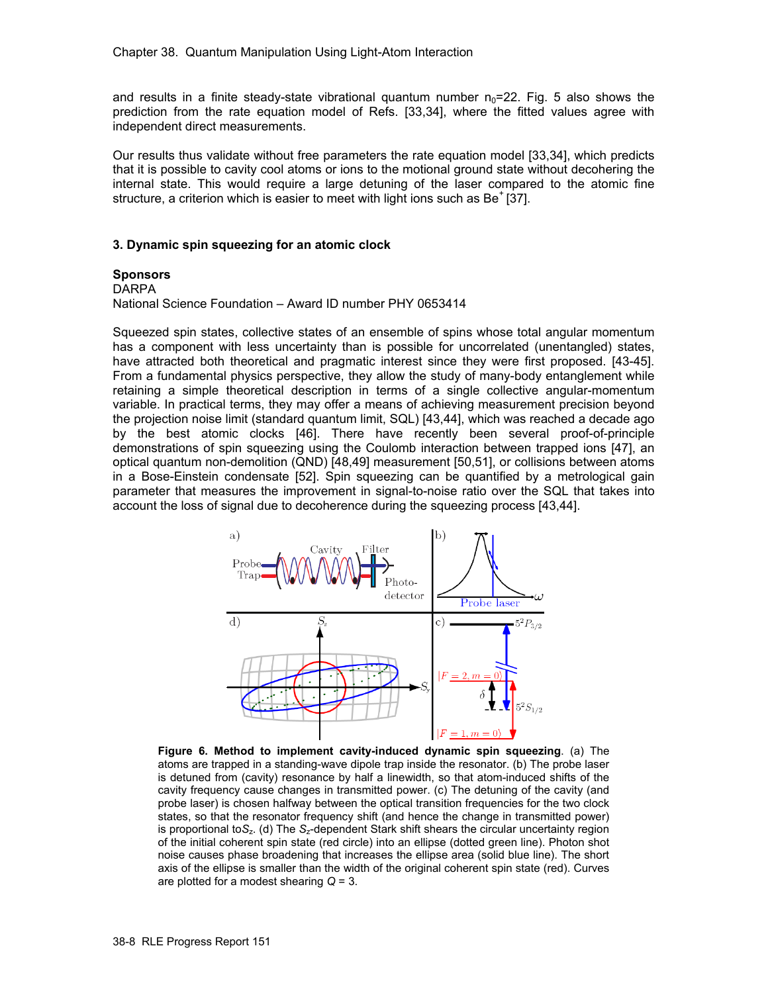and results in a finite steady-state vibrational quantum number  $n_0$ =22. Fig. 5 also shows the prediction from the rate equation model of Refs. [33,34], where the fitted values agree with independent direct measurements.

Our results thus validate without free parameters the rate equation model [33,34], which predicts that it is possible to cavity cool atoms or ions to the motional ground state without decohering the internal state. This would require a large detuning of the laser compared to the atomic fine structure, a criterion which is easier to meet with light ions such as  $Be<sup>+</sup>$  [37].

#### **3. Dynamic spin squeezing for an atomic clock**

#### **Sponsors**

#### DARPA

National Science Foundation – Award ID number PHY 0653414

Squeezed spin states, collective states of an ensemble of spins whose total angular momentum has a component with less uncertainty than is possible for uncorrelated (unentangled) states, have attracted both theoretical and pragmatic interest since they were first proposed. [43-45]. From a fundamental physics perspective, they allow the study of many-body entanglement while retaining a simple theoretical description in terms of a single collective angular-momentum variable. In practical terms, they may offer a means of achieving measurement precision beyond the projection noise limit (standard quantum limit, SQL) [43,44], which was reached a decade ago by the best atomic clocks [46]. There have recently been several proof-of-principle demonstrations of spin squeezing using the Coulomb interaction between trapped ions [47], an optical quantum non-demolition (QND) [48,49] measurement [50,51], or collisions between atoms in a Bose-Einstein condensate [52]. Spin squeezing can be quantified by a metrological gain parameter that measures the improvement in signal-to-noise ratio over the SQL that takes into account the loss of signal due to decoherence during the squeezing process [43,44].



**Figure 6. Method to implement cavity-induced dynamic spin squeezing**. (a) The atoms are trapped in a standing-wave dipole trap inside the resonator. (b) The probe laser is detuned from (cavity) resonance by half a linewidth, so that atom-induced shifts of the cavity frequency cause changes in transmitted power. (c) The detuning of the cavity (and probe laser) is chosen halfway between the optical transition frequencies for the two clock states, so that the resonator frequency shift (and hence the change in transmitted power) is proportional to*S*z. (d) The *S*z-dependent Stark shift shears the circular uncertainty region of the initial coherent spin state (red circle) into an ellipse (dotted green line). Photon shot noise causes phase broadening that increases the ellipse area (solid blue line). The short axis of the ellipse is smaller than the width of the original coherent spin state (red). Curves are plotted for a modest shearing *Q* = 3.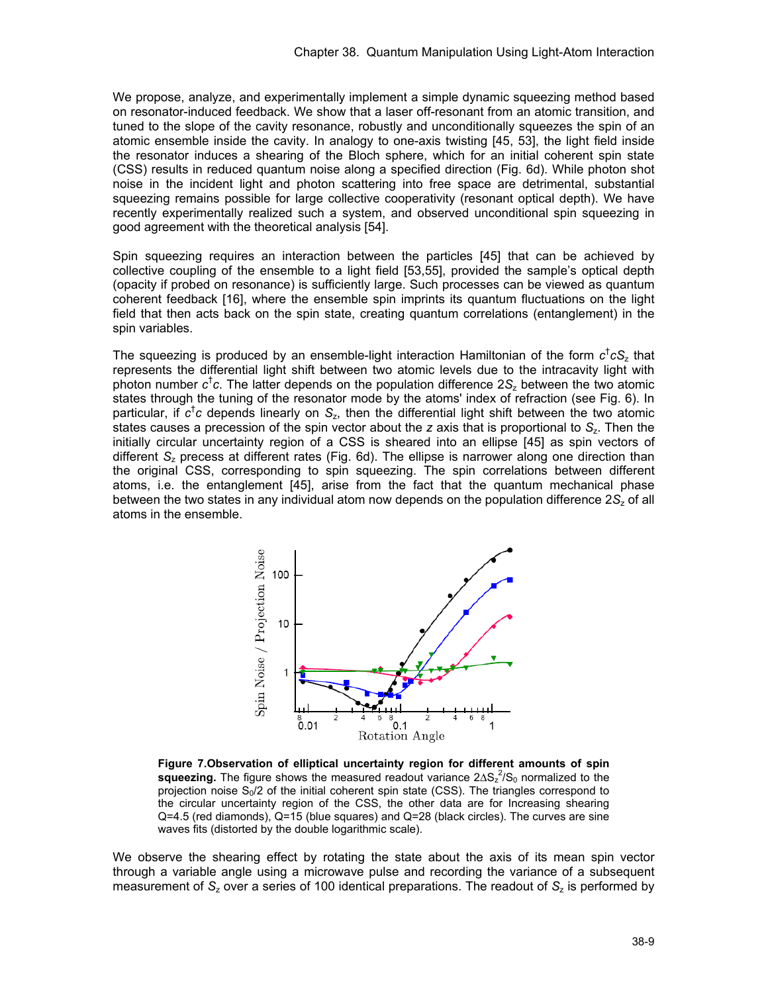We propose, analyze, and experimentally implement a simple dynamic squeezing method based on resonator-induced feedback. We show that a laser off-resonant from an atomic transition, and tuned to the slope of the cavity resonance, robustly and unconditionally squeezes the spin of an atomic ensemble inside the cavity. In analogy to one-axis twisting [45, 53], the light field inside the resonator induces a shearing of the Bloch sphere, which for an initial coherent spin state (CSS) results in reduced quantum noise along a specified direction (Fig. 6d). While photon shot noise in the incident light and photon scattering into free space are detrimental, substantial squeezing remains possible for large collective cooperativity (resonant optical depth). We have recently experimentally realized such a system, and observed unconditional spin squeezing in good agreement with the theoretical analysis [54].

Spin squeezing requires an interaction between the particles [45] that can be achieved by collective coupling of the ensemble to a light field [53,55], provided the sample's optical depth (opacity if probed on resonance) is sufficiently large. Such processes can be viewed as quantum coherent feedback [16], where the ensemble spin imprints its quantum fluctuations on the light field that then acts back on the spin state, creating quantum correlations (entanglement) in the spin variables.

The squeezing is produced by an ensemble-light interaction Hamiltonian of the form *c*† *cS*z that represents the differential light shift between two atomic levels due to the intracavity light with photon number *c*† *c*. The latter depends on the population difference 2*S*z between the two atomic states through the tuning of the resonator mode by the atoms' index of refraction (see Fig. 6). In particular, if *c*† *c* depends linearly on *S*z, then the differential light shift between the two atomic states causes a precession of the spin vector about the *z* axis that is proportional to S<sub>z</sub>. Then the initially circular uncertainty region of a CSS is sheared into an ellipse [45] as spin vectors of different *S*z precess at different rates (Fig. 6d). The ellipse is narrower along one direction than the original CSS, corresponding to spin squeezing. The spin correlations between different atoms, i.e. the entanglement [45], arise from the fact that the quantum mechanical phase between the two states in any individual atom now depends on the population difference 2S<sub>z</sub> of all atoms in the ensemble.



**Figure 7.Observation of elliptical uncertainty region for different amounts of spin squeezing.** The figure shows the measured readout variance 2ΔS<sub>z</sub><sup>2</sup>/S<sub>0</sub> normalized to the projection noise  $S_0/2$  of the initial coherent spin state (CSS). The triangles correspond to the circular uncertainty region of the CSS, the other data are for Increasing shearing Q=4.5 (red diamonds), Q=15 (blue squares) and Q=28 (black circles). The curves are sine waves fits (distorted by the double logarithmic scale).

We observe the shearing effect by rotating the state about the axis of its mean spin vector through a variable angle using a microwave pulse and recording the variance of a subsequent measurement of *S*z over a series of 100 identical preparations. The readout of *S*z is performed by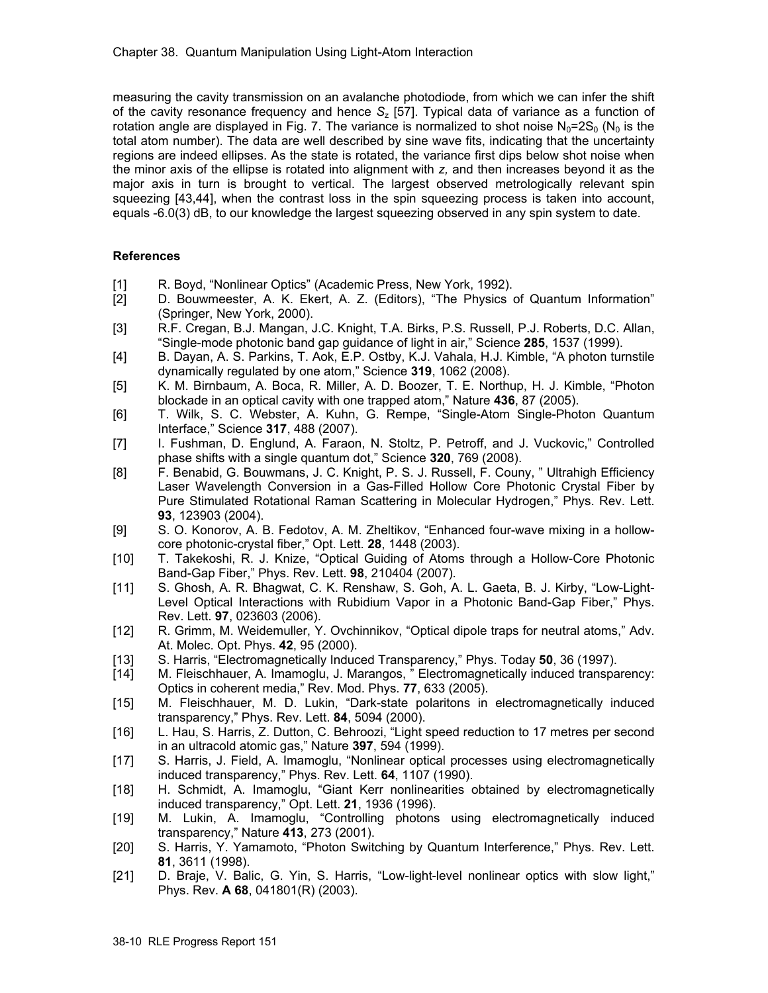measuring the cavity transmission on an avalanche photodiode, from which we can infer the shift of the cavity resonance frequency and hence *S*z [57]. Typical data of variance as a function of rotation angle are displayed in Fig. 7. The variance is normalized to shot noise  $N_0=2S_0$  ( $N_0$  is the total atom number). The data are well described by sine wave fits, indicating that the uncertainty regions are indeed ellipses. As the state is rotated, the variance first dips below shot noise when the minor axis of the ellipse is rotated into alignment with *z,* and then increases beyond it as the major axis in turn is brought to vertical. The largest observed metrologically relevant spin squeezing [43,44], when the contrast loss in the spin squeezing process is taken into account, equals -6.0(3) dB, to our knowledge the largest squeezing observed in any spin system to date.

## **References**

- [1] R. Boyd, "Nonlinear Optics" (Academic Press, New York, 1992).<br>[2] D. Bouwmeester, A. K. Ekert, A. Z. (Editors), "The Physics
- D. Bouwmeester, A. K. Ekert, A. Z. (Editors), "The Physics of Quantum Information" (Springer, New York, 2000).
- [3] R.F. Cregan, B.J. Mangan, J.C. Knight, T.A. Birks, P.S. Russell, P.J. Roberts, D.C. Allan, "Single-mode photonic band gap guidance of light in air," Science **285**, 1537 (1999).
- [4] B. Dayan, A. S. Parkins, T. Aok, E.P. Ostby, K.J. Vahala, H.J. Kimble, "A photon turnstile dynamically regulated by one atom," Science **319**, 1062 (2008).
- [5] K. M. Birnbaum, A. Boca, R. Miller, A. D. Boozer, T. E. Northup, H. J. Kimble, "Photon blockade in an optical cavity with one trapped atom," Nature **436**, 87 (2005).
- [6] T. Wilk, S. C. Webster, A. Kuhn, G. Rempe, "Single-Atom Single-Photon Quantum Interface," Science **317**, 488 (2007).
- [7] I. Fushman, D. Englund, A. Faraon, N. Stoltz, P. Petroff, and J. Vuckovic," Controlled phase shifts with a single quantum dot," Science **320**, 769 (2008).
- [8] F. Benabid, G. Bouwmans, J. C. Knight, P. S. J. Russell, F. Couny, " Ultrahigh Efficiency Laser Wavelength Conversion in a Gas-Filled Hollow Core Photonic Crystal Fiber by Pure Stimulated Rotational Raman Scattering in Molecular Hydrogen," Phys. Rev. Lett. **93**, 123903 (2004).
- [9] S. O. Konorov, A. B. Fedotov, A. M. Zheltikov, "Enhanced four-wave mixing in a hollowcore photonic-crystal fiber," Opt. Lett. **28**, 1448 (2003).
- [10] T. Takekoshi, R. J. Knize, "Optical Guiding of Atoms through a Hollow-Core Photonic Band-Gap Fiber," Phys. Rev. Lett. **98**, 210404 (2007).
- [11] S. Ghosh, A. R. Bhagwat, C. K. Renshaw, S. Goh, A. L. Gaeta, B. J. Kirby, "Low-Light-Level Optical Interactions with Rubidium Vapor in a Photonic Band-Gap Fiber," Phys. Rev. Lett. **97**, 023603 (2006).
- [12] R. Grimm, M. Weidemuller, Y. Ovchinnikov, "Optical dipole traps for neutral atoms," Adv. At. Molec. Opt. Phys. **42**, 95 (2000).
- [13] S. Harris, "Electromagnetically Induced Transparency," Phys. Today **50**, 36 (1997).
- [14] M. Fleischhauer, A. Imamoglu, J. Marangos, " Electromagnetically induced transparency: Optics in coherent media," Rev. Mod. Phys. **77**, 633 (2005).
- [15] M. Fleischhauer, M. D. Lukin, "Dark-state polaritons in electromagnetically induced transparency," Phys. Rev. Lett. **84**, 5094 (2000).
- [16] L. Hau, S. Harris, Z. Dutton, C. Behroozi, "Light speed reduction to 17 metres per second in an ultracold atomic gas," Nature **397**, 594 (1999).
- [17] S. Harris, J. Field, A. Imamoglu, "Nonlinear optical processes using electromagnetically induced transparency," Phys. Rev. Lett. **64**, 1107 (1990).
- [18] H. Schmidt, A. Imamoglu, "Giant Kerr nonlinearities obtained by electromagnetically induced transparency," Opt. Lett. **21**, 1936 (1996).
- [19] M. Lukin, A. Imamoglu, "Controlling photons using electromagnetically induced transparency," Nature **413**, 273 (2001).
- [20] S. Harris, Y. Yamamoto, "Photon Switching by Quantum Interference," Phys. Rev. Lett. **81**, 3611 (1998).
- [21] D. Braje, V. Balic, G. Yin, S. Harris, "Low-light-level nonlinear optics with slow light," Phys. Rev. **A 68**, 041801(R) (2003).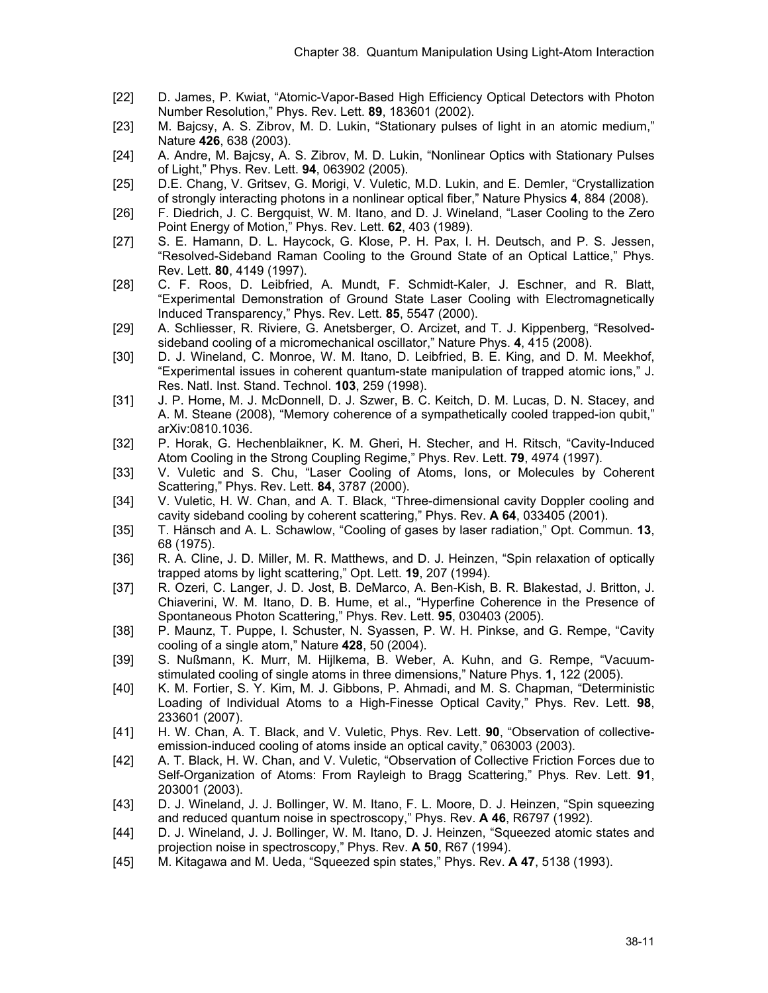- [22] D. James, P. Kwiat, "Atomic-Vapor-Based High Efficiency Optical Detectors with Photon Number Resolution," Phys. Rev. Lett. **89**, 183601 (2002).
- [23] M. Bajcsy, A. S. Zibrov, M. D. Lukin, "Stationary pulses of light in an atomic medium," Nature **426**, 638 (2003).
- [24] A. Andre, M. Bajcsy, A. S. Zibrov, M. D. Lukin, "Nonlinear Optics with Stationary Pulses of Light," Phys. Rev. Lett. **94**, 063902 (2005).
- [25] D.E. Chang, V. Gritsev, G. Morigi, V. Vuletic, M.D. Lukin, and E. Demler, "Crystallization of strongly interacting photons in a nonlinear optical fiber," Nature Physics **4**, 884 (2008).
- [26] F. Diedrich, J. C. Bergquist, W. M. Itano, and D. J. Wineland, "Laser Cooling to the Zero Point Energy of Motion," Phys. Rev. Lett. **62**, 403 (1989).
- [27] S. E. Hamann, D. L. Haycock, G. Klose, P. H. Pax, I. H. Deutsch, and P. S. Jessen, "Resolved-Sideband Raman Cooling to the Ground State of an Optical Lattice," Phys. Rev. Lett. **80**, 4149 (1997).
- [28] C. F. Roos, D. Leibfried, A. Mundt, F. Schmidt-Kaler, J. Eschner, and R. Blatt, "Experimental Demonstration of Ground State Laser Cooling with Electromagnetically Induced Transparency," Phys. Rev. Lett. **85**, 5547 (2000).
- [29] A. Schliesser, R. Riviere, G. Anetsberger, O. Arcizet, and T. J. Kippenberg, "Resolvedsideband cooling of a micromechanical oscillator," Nature Phys. **4**, 415 (2008).
- [30] D. J. Wineland, C. Monroe, W. M. Itano, D. Leibfried, B. E. King, and D. M. Meekhof, "Experimental issues in coherent quantum-state manipulation of trapped atomic ions," J. Res. Natl. Inst. Stand. Technol. **103**, 259 (1998).
- [31] J. P. Home, M. J. McDonnell, D. J. Szwer, B. C. Keitch, D. M. Lucas, D. N. Stacey, and A. M. Steane (2008), "Memory coherence of a sympathetically cooled trapped-ion qubit," arXiv:0810.1036.
- [32] P. Horak, G. Hechenblaikner, K. M. Gheri, H. Stecher, and H. Ritsch, "Cavity-Induced Atom Cooling in the Strong Coupling Regime," Phys. Rev. Lett. **79**, 4974 (1997).
- [33] V. Vuletic and S. Chu, "Laser Cooling of Atoms, Ions, or Molecules by Coherent Scattering," Phys. Rev. Lett. **84**, 3787 (2000).
- [34] V. Vuletic, H. W. Chan, and A. T. Black, "Three-dimensional cavity Doppler cooling and cavity sideband cooling by coherent scattering," Phys. Rev. **A 64**, 033405 (2001).
- [35] T. Hänsch and A. L. Schawlow, "Cooling of gases by laser radiation," Opt. Commun. **13**, 68 (1975).
- [36] R. A. Cline, J. D. Miller, M. R. Matthews, and D. J. Heinzen, "Spin relaxation of optically trapped atoms by light scattering," Opt. Lett. **19**, 207 (1994).
- [37] R. Ozeri, C. Langer, J. D. Jost, B. DeMarco, A. Ben-Kish, B. R. Blakestad, J. Britton, J. Chiaverini, W. M. Itano, D. B. Hume, et al., "Hyperfine Coherence in the Presence of Spontaneous Photon Scattering," Phys. Rev. Lett. **95**, 030403 (2005).
- [38] P. Maunz, T. Puppe, I. Schuster, N. Syassen, P. W. H. Pinkse, and G. Rempe, "Cavity cooling of a single atom," Nature **428**, 50 (2004).
- [39] S. Nußmann, K. Murr, M. Hijlkema, B. Weber, A. Kuhn, and G. Rempe, "Vacuumstimulated cooling of single atoms in three dimensions," Nature Phys. **1**, 122 (2005).
- [40] K. M. Fortier, S. Y. Kim, M. J. Gibbons, P. Ahmadi, and M. S. Chapman, "Deterministic Loading of Individual Atoms to a High-Finesse Optical Cavity," Phys. Rev. Lett. **98**, 233601 (2007).
- [41] H. W. Chan, A. T. Black, and V. Vuletic, Phys. Rev. Lett. **90**, "Observation of collectiveemission-induced cooling of atoms inside an optical cavity," 063003 (2003).
- [42] A. T. Black, H. W. Chan, and V. Vuletic, "Observation of Collective Friction Forces due to Self-Organization of Atoms: From Rayleigh to Bragg Scattering," Phys. Rev. Lett. **91**, 203001 (2003).
- [43] D. J. Wineland, J. J. Bollinger, W. M. Itano, F. L. Moore, D. J. Heinzen, "Spin squeezing and reduced quantum noise in spectroscopy," Phys. Rev. **A 46**, R6797 (1992).
- [44] D. J. Wineland, J. J. Bollinger, W. M. Itano, D. J. Heinzen, "Squeezed atomic states and projection noise in spectroscopy," Phys. Rev. **A 50**, R67 (1994).
- [45] M. Kitagawa and M. Ueda, "Squeezed spin states," Phys. Rev. **A 47**, 5138 (1993).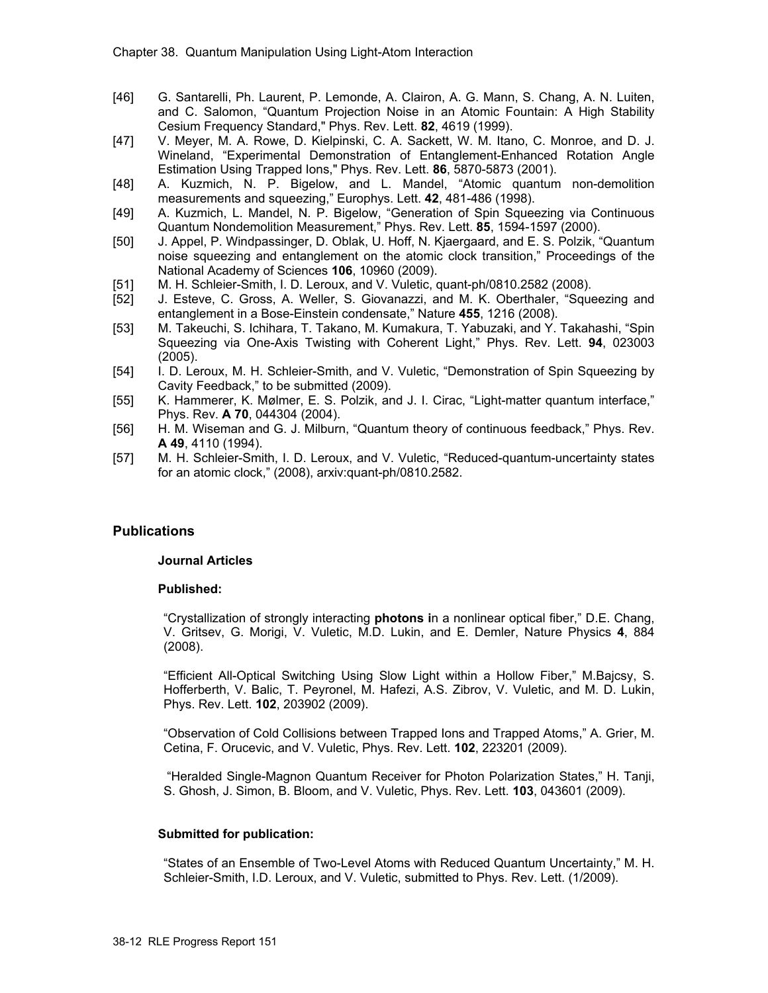- [46] G. Santarelli, Ph. Laurent, P. Lemonde, A. Clairon, A. G. Mann, S. Chang, A. N. Luiten, and C. Salomon, "Quantum Projection Noise in an Atomic Fountain: A High Stability Cesium Frequency Standard," Phys. Rev. Lett. **82**, 4619 (1999).
- [47] V. Meyer, M. A. Rowe, D. Kielpinski, C. A. Sackett, W. M. Itano, C. Monroe, and D. J. Wineland, "Experimental Demonstration of Entanglement-Enhanced Rotation Angle Estimation Using Trapped Ions," Phys. Rev. Lett. **86**, 5870-5873 (2001).
- [48] A. Kuzmich, N. P. Bigelow, and L. Mandel, "Atomic quantum non-demolition measurements and squeezing," Europhys. Lett. **42**, 481-486 (1998).
- [49] A. Kuzmich, L. Mandel, N. P. Bigelow, "Generation of Spin Squeezing via Continuous Quantum Nondemolition Measurement," Phys. Rev. Lett. **85**, 1594-1597 (2000).
- [50] J. Appel, P. Windpassinger, D. Oblak, U. Hoff, N. Kjaergaard, and E. S. Polzik, "Quantum noise squeezing and entanglement on the atomic clock transition," Proceedings of the National Academy of Sciences **106**, 10960 (2009).
- [51] M. H. Schleier-Smith, I. D. Leroux, and V. Vuletic, quant-ph/0810.2582 (2008).
- [52] J. Esteve, C. Gross, A. Weller, S. Giovanazzi, and M. K. Oberthaler, "Squeezing and entanglement in a Bose-Einstein condensate," Nature **455**, 1216 (2008).
- [53] M. Takeuchi, S. Ichihara, T. Takano, M. Kumakura, T. Yabuzaki, and Y. Takahashi, "Spin Squeezing via One-Axis Twisting with Coherent Light," Phys. Rev. Lett. **94**, 023003 (2005).
- [54] I. D. Leroux, M. H. Schleier-Smith, and V. Vuletic, "Demonstration of Spin Squeezing by Cavity Feedback," to be submitted (2009).
- [55] K. Hammerer, K. Mølmer, E. S. Polzik, and J. I. Cirac, "Light-matter quantum interface," Phys. Rev. **A 70**, 044304 (2004).
- [56] H. M. Wiseman and G. J. Milburn, "Quantum theory of continuous feedback," Phys. Rev. **A 49**, 4110 (1994).
- [57] M. H. Schleier-Smith, I. D. Leroux, and V. Vuletic, "Reduced-quantum-uncertainty states for an atomic clock," (2008), arxiv:quant-ph/0810.2582.

## **Publications**

## **Journal Articles**

## **Published:**

"Crystallization of strongly interacting **photons i**n a nonlinear optical fiber," D.E. Chang, V. Gritsev, G. Morigi, V. Vuletic, M.D. Lukin, and E. Demler, Nature Physics **4**, 884 (2008).

"Efficient All-Optical Switching Using Slow Light within a Hollow Fiber," M.Bajcsy, S. Hofferberth, V. Balic, T. Peyronel, M. Hafezi, A.S. Zibrov, V. Vuletic, and M. D. Lukin, Phys. Rev. Lett. **102**, 203902 (2009).

"Observation of Cold Collisions between Trapped Ions and Trapped Atoms," A. Grier, M. Cetina, F. Orucevic, and V. Vuletic, Phys. Rev. Lett. **102**, 223201 (2009).

 "Heralded Single-Magnon Quantum Receiver for Photon Polarization States," H. Tanji, S. Ghosh, J. Simon, B. Bloom, and V. Vuletic, Phys. Rev. Lett. **103**, 043601 (2009).

## **Submitted for publication:**

"States of an Ensemble of Two-Level Atoms with Reduced Quantum Uncertainty," M. H. Schleier-Smith, I.D. Leroux, and V. Vuletic, submitted to Phys. Rev. Lett. (1/2009).